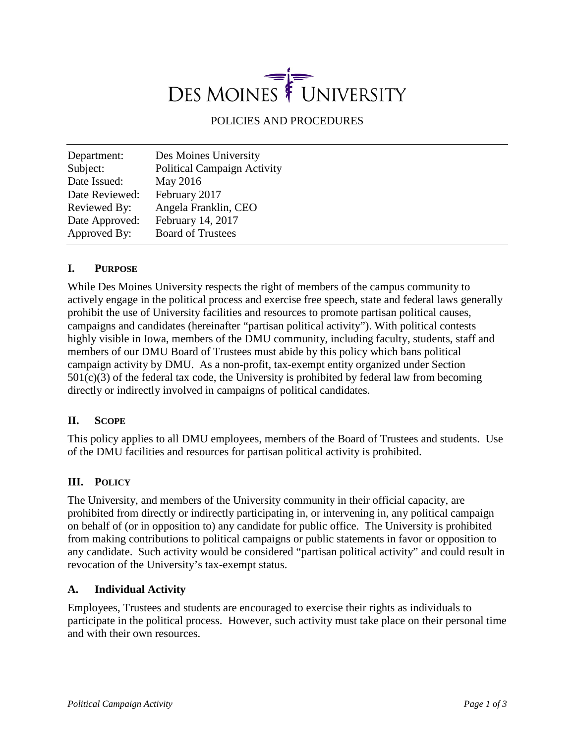# UNIVERSITY DES MOINES

POLICIES AND PROCEDURES

| Department:    | Des Moines University              |
|----------------|------------------------------------|
| Subject:       | <b>Political Campaign Activity</b> |
| Date Issued:   | May 2016                           |
| Date Reviewed: | February 2017                      |
| Reviewed By:   | Angela Franklin, CEO               |
| Date Approved: | February 14, 2017                  |
| Approved By:   | <b>Board of Trustees</b>           |

## **I. PURPOSE**

While Des Moines University respects the right of members of the campus community to actively engage in the political process and exercise free speech, state and federal laws generally prohibit the use of University facilities and resources to promote partisan political causes, campaigns and candidates (hereinafter "partisan political activity"). With political contests highly visible in Iowa, members of the DMU community, including faculty, students, staff and members of our DMU Board of Trustees must abide by this policy which bans political campaign activity by DMU. As a non-profit, tax-exempt entity organized under Section  $501(c)(3)$  of the federal tax code, the University is prohibited by federal law from becoming directly or indirectly involved in campaigns of political candidates.

#### **II. SCOPE**

This policy applies to all DMU employees, members of the Board of Trustees and students. Use of the DMU facilities and resources for partisan political activity is prohibited.

#### **III. POLICY**

The University, and members of the University community in their official capacity, are prohibited from directly or indirectly participating in, or intervening in, any political campaign on behalf of (or in opposition to) any candidate for public office. The University is prohibited from making contributions to political campaigns or public statements in favor or opposition to any candidate. Such activity would be considered "partisan political activity" and could result in revocation of the University's tax-exempt status.

#### **A. Individual Activity**

Employees, Trustees and students are encouraged to exercise their rights as individuals to participate in the political process. However, such activity must take place on their personal time and with their own resources.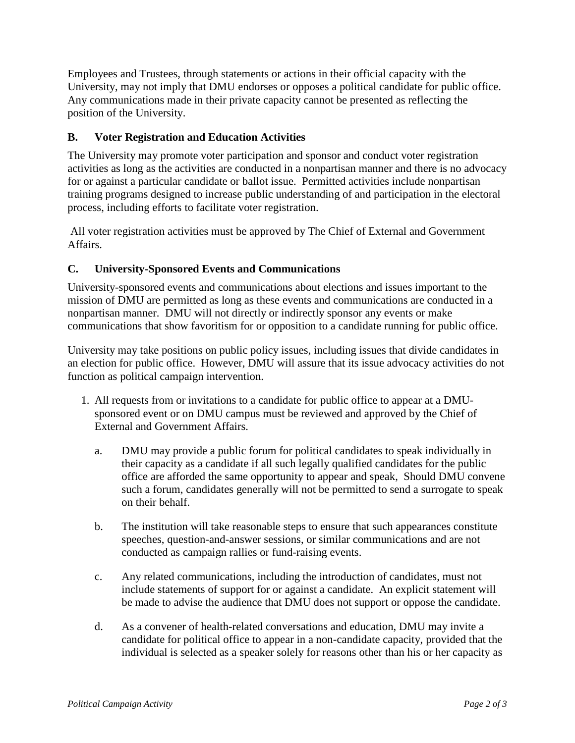Employees and Trustees, through statements or actions in their official capacity with the University, may not imply that DMU endorses or opposes a political candidate for public office. Any communications made in their private capacity cannot be presented as reflecting the position of the University.

### **B. Voter Registration and Education Activities**

The University may promote voter participation and sponsor and conduct voter registration activities as long as the activities are conducted in a nonpartisan manner and there is no advocacy for or against a particular candidate or ballot issue. Permitted activities include nonpartisan training programs designed to increase public understanding of and participation in the electoral process, including efforts to facilitate voter registration.

All voter registration activities must be approved by The Chief of External and Government Affairs.

## **C. University-Sponsored Events and Communications**

University-sponsored events and communications about elections and issues important to the mission of DMU are permitted as long as these events and communications are conducted in a nonpartisan manner. DMU will not directly or indirectly sponsor any events or make communications that show favoritism for or opposition to a candidate running for public office.

University may take positions on public policy issues, including issues that divide candidates in an election for public office. However, DMU will assure that its issue advocacy activities do not function as political campaign intervention.

- 1. All requests from or invitations to a candidate for public office to appear at a DMUsponsored event or on DMU campus must be reviewed and approved by the Chief of External and Government Affairs.
	- a. DMU may provide a public forum for political candidates to speak individually in their capacity as a candidate if all such legally qualified candidates for the public office are afforded the same opportunity to appear and speak, Should DMU convene such a forum, candidates generally will not be permitted to send a surrogate to speak on their behalf.
	- b. The institution will take reasonable steps to ensure that such appearances constitute speeches, question-and-answer sessions, or similar communications and are not conducted as campaign rallies or fund-raising events.
	- c. Any related communications, including the introduction of candidates, must not include statements of support for or against a candidate. An explicit statement will be made to advise the audience that DMU does not support or oppose the candidate.
	- d. As a convener of health-related conversations and education, DMU may invite a candidate for political office to appear in a non-candidate capacity, provided that the individual is selected as a speaker solely for reasons other than his or her capacity as